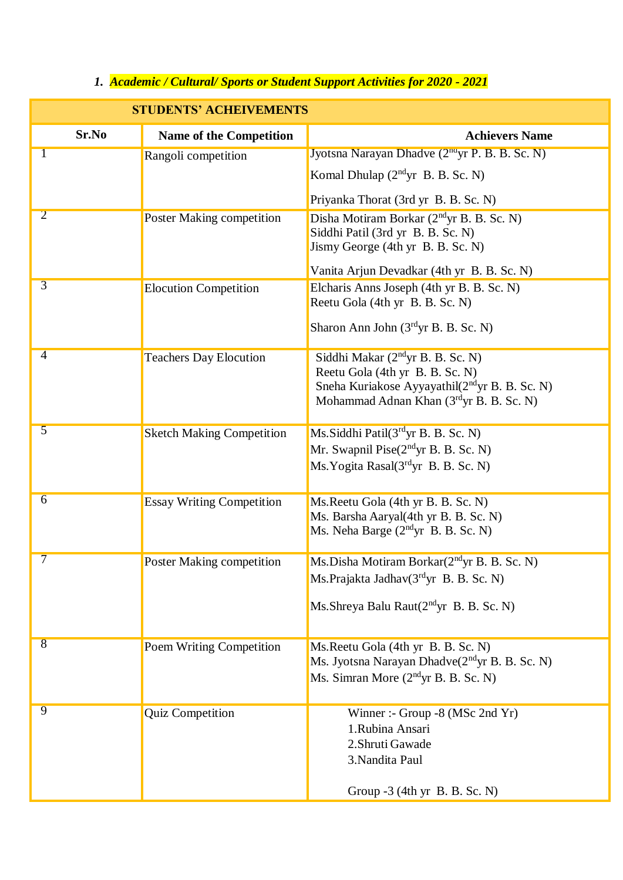## *1. Academic / Cultural/ Sports or Student Support Activities for 2020 - 2021*

| <b>STUDENTS' ACHEIVEMENTS</b> |                                  |                                                                                                                                                                                           |
|-------------------------------|----------------------------------|-------------------------------------------------------------------------------------------------------------------------------------------------------------------------------------------|
| Sr.No                         | <b>Name of the Competition</b>   | <b>Achievers Name</b>                                                                                                                                                                     |
| 1                             | Rangoli competition              | Jyotsna Narayan Dhadve (2 <sup>nd</sup> yr P. B. B. Sc. N)                                                                                                                                |
|                               |                                  | Komal Dhulap $(2ndyr B. B. Sc. N)$                                                                                                                                                        |
|                               |                                  | Priyanka Thorat (3rd yr B. B. Sc. N)                                                                                                                                                      |
| $\overline{2}$                | Poster Making competition        | Disha Motiram Borkar (2 <sup>nd</sup> yr B. B. Sc. N)<br>Siddhi Patil (3rd yr B. B. Sc. N)<br>Jismy George (4th yr B. B. Sc. N)                                                           |
|                               |                                  | Vanita Arjun Devadkar (4th yr B. B. Sc. N)                                                                                                                                                |
| $\overline{3}$                | <b>Elocution Competition</b>     | Elcharis Anns Joseph (4th yr B. B. Sc. N)<br>Reetu Gola (4th yr B. B. Sc. N)                                                                                                              |
|                               |                                  | Sharon Ann John (3rdyr B. B. Sc. N)                                                                                                                                                       |
| $\overline{4}$                | <b>Teachers Day Elocution</b>    | Siddhi Makar (2 <sup>nd</sup> yr B. B. Sc. N)<br>Reetu Gola (4th yr B. B. Sc. N)<br>Sneha Kuriakose Ayyayathil(2 <sup>nd</sup> yr B. B. Sc. N)<br>Mohammad Adnan Khan (3rdyr B. B. Sc. N) |
| $\overline{5}$                | <b>Sketch Making Competition</b> | Ms.Siddhi Patil(3rdyr B. B. Sc. N)<br>Mr. Swapnil Pise(2 <sup>nd</sup> yr B. B. Sc. N)<br>Ms. Yogita Rasal(3rdyr B. B. Sc. N)                                                             |
| $\overline{6}$                | <b>Essay Writing Competition</b> | Ms. Reetu Gola (4th yr B. B. Sc. N)<br>Ms. Barsha Aaryal(4th yr B. B. Sc. N)<br>Ms. Neha Barge (2 <sup>nd</sup> yr B. B. Sc. N)                                                           |
| $\overline{\tau}$             | <b>Poster Making competition</b> | Ms.Disha Motiram Borkar(2 <sup>nd</sup> yr B. B. Sc. N)<br>Ms.Prajakta Jadhav(3rdyr B. B. Sc. N)<br>Ms. Shreya Balu Raut $(2ndyr B. B. Sc. N)$                                            |
| $\overline{8}$                | <b>Poem Writing Competition</b>  | Ms. Reetu Gola (4th yr B. B. Sc. N)<br>Ms. Jyotsna Narayan Dhadve(2 <sup>nd</sup> yr B. B. Sc. N)<br>Ms. Simran More (2 <sup>nd</sup> yr B. B. Sc. N)                                     |
| $\overline{9}$                | <b>Quiz Competition</b>          | Winner :- Group -8 (MSc 2nd Yr)<br>1.Rubina Ansari<br>2. Shruti Gawade<br>3. Nandita Paul<br>Group -3 (4th yr B. B. Sc. N)                                                                |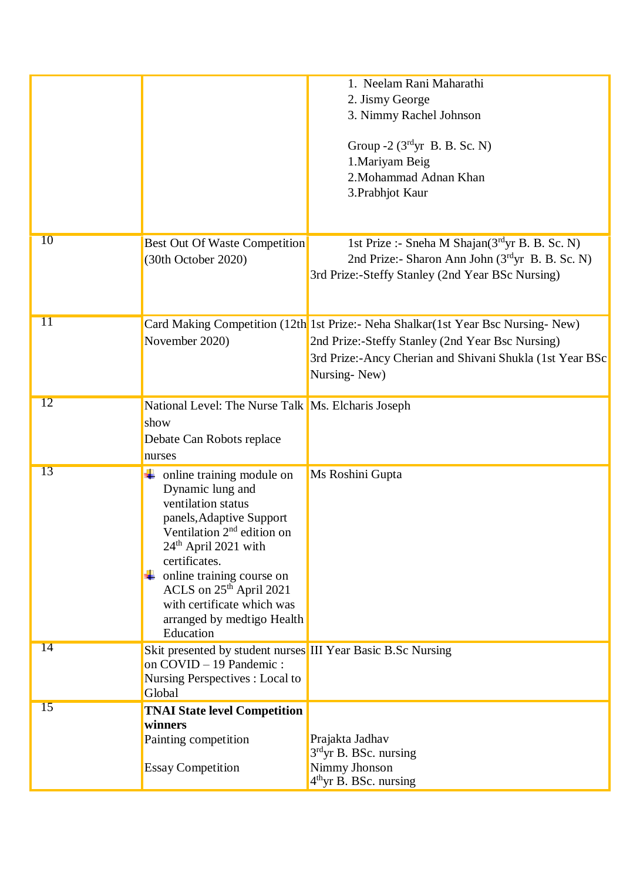|                 |                                                                                                                                                                                                                                                                                                                                      | 1. Neelam Rani Maharathi<br>2. Jismy George<br>3. Nimmy Rachel Johnson<br>Group $-2$ (3 <sup>rd</sup> yr B. B. Sc. N)<br>1. Mariyam Beig<br>2. Mohammad Adnan Khan<br>3. Prabhjot Kaur                             |
|-----------------|--------------------------------------------------------------------------------------------------------------------------------------------------------------------------------------------------------------------------------------------------------------------------------------------------------------------------------------|--------------------------------------------------------------------------------------------------------------------------------------------------------------------------------------------------------------------|
| 10              | <b>Best Out Of Waste Competition</b><br>(30th October 2020)                                                                                                                                                                                                                                                                          | 1st Prize :- Sneha M Shajan(3rdyr B. B. Sc. N)<br>2nd Prize:- Sharon Ann John (3rdyr B. B. Sc. N)<br>3rd Prize:-Steffy Stanley (2nd Year BSc Nursing)                                                              |
| $\overline{11}$ | November 2020)                                                                                                                                                                                                                                                                                                                       | Card Making Competition (12th 1st Prize:- Neha Shalkar (1st Year Bsc Nursing-New)<br>2nd Prize:-Steffy Stanley (2nd Year Bsc Nursing)<br>3rd Prize:-Ancy Cherian and Shivani Shukla (1st Year BSc)<br>Nursing-New) |
| 12              | National Level: The Nurse Talk Ms. Elcharis Joseph<br>show<br>Debate Can Robots replace<br>nurses                                                                                                                                                                                                                                    |                                                                                                                                                                                                                    |
| 13              | $\downarrow$ online training module on<br>Dynamic lung and<br>ventilation status<br>panels, Adaptive Support<br>Ventilation $2nd$ edition on<br>24 <sup>th</sup> April 2021 with<br>certificates.<br>online training course on<br>ACLS on $25th$ April 2021<br>with certificate which was<br>arranged by medtigo Health<br>Education | Ms Roshini Gupta                                                                                                                                                                                                   |
| 14              | Skit presented by student nurses III Year Basic B.Sc Nursing<br>on COVID - 19 Pandemic:<br>Nursing Perspectives : Local to<br>Global                                                                                                                                                                                                 |                                                                                                                                                                                                                    |
| 15              | <b>TNAI State level Competition</b><br>winners<br>Painting competition<br><b>Essay Competition</b>                                                                                                                                                                                                                                   | Prajakta Jadhav<br>$3rd$ yr B. BSc. nursing<br>Nimmy Jhonson<br>$4th$ yr B. BSc. nursing                                                                                                                           |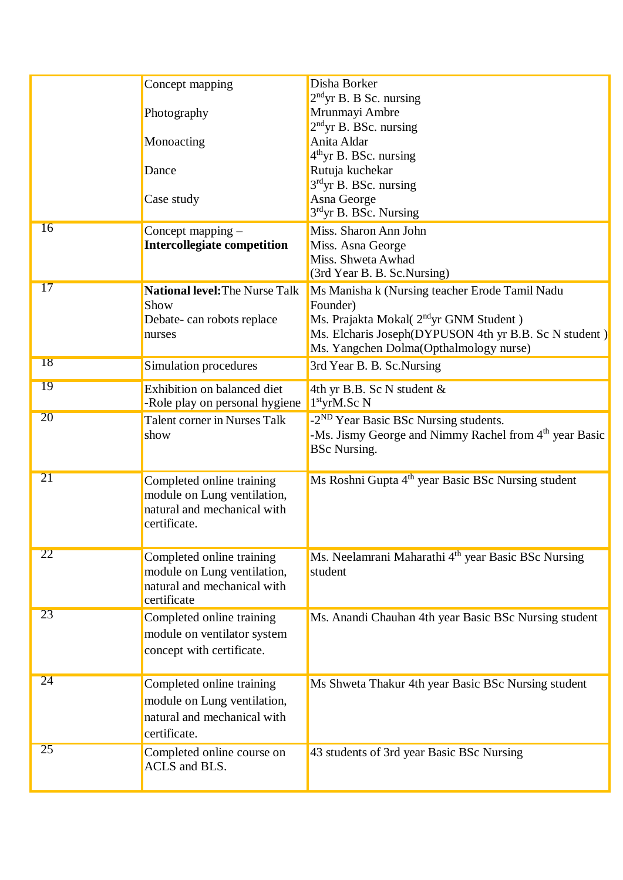|           | Concept mapping                                            | Disha Borker<br>$2nd$ yr B. B Sc. nursing                                     |
|-----------|------------------------------------------------------------|-------------------------------------------------------------------------------|
|           | Photography                                                | Mrunmayi Ambre                                                                |
|           |                                                            | 2 <sup>nd</sup> yr B. BSc. nursing                                            |
|           | Monoacting                                                 | Anita Aldar                                                                   |
|           | Dance                                                      | $4th$ yr B. BSc. nursing<br>Rutuja kuchekar                                   |
|           |                                                            | $3rd$ yr B. BSc. nursing                                                      |
|           | Case study                                                 | Asna George                                                                   |
|           |                                                            | 3rdyr B. BSc. Nursing                                                         |
| 16        | Concept mapping $-$                                        | Miss. Sharon Ann John                                                         |
|           | <b>Intercollegiate competition</b>                         | Miss. Asna George                                                             |
|           |                                                            | Miss. Shweta Awhad                                                            |
| 17        |                                                            | (3rd Year B. B. Sc. Nursing)                                                  |
|           | <b>National level: The Nurse Talk</b>                      | Ms Manisha k (Nursing teacher Erode Tamil Nadu                                |
|           | Show                                                       | Founder)<br>Ms. Prajakta Mokal( 2 <sup>nd</sup> yr GNM Student )              |
|           | Debate- can robots replace<br>nurses                       | Ms. Elcharis Joseph(DYPUSON 4th yr B.B. Sc N student)                         |
|           |                                                            | Ms. Yangchen Dolma(Opthalmology nurse)                                        |
| 18        | Simulation procedures                                      | 3rd Year B. B. Sc. Nursing                                                    |
|           |                                                            |                                                                               |
| 19        | Exhibition on balanced diet                                | 4th yr B.B. Sc N student $\&$                                                 |
| <b>20</b> | -Role play on personal hygiene                             | $1st$ yrM.Sc N                                                                |
|           | Talent corner in Nurses Talk                               | -2 <sup>ND</sup> Year Basic BSc Nursing students.                             |
|           | show                                                       | -Ms. Jismy George and Nimmy Rachel from 4th year Basic<br><b>BSc Nursing.</b> |
|           |                                                            |                                                                               |
| 21        | Completed online training                                  | Ms Roshni Gupta 4 <sup>th</sup> year Basic BSc Nursing student                |
|           | module on Lung ventilation,                                |                                                                               |
|           | natural and mechanical with                                |                                                                               |
|           | certificate.                                               |                                                                               |
| <b>22</b> |                                                            |                                                                               |
|           | Completed online training                                  | Ms. Neelamrani Maharathi 4 <sup>th</sup> year Basic BSc Nursing               |
|           | module on Lung ventilation,<br>natural and mechanical with | student                                                                       |
|           | certificate                                                |                                                                               |
| 23        | Completed online training                                  | Ms. Anandi Chauhan 4th year Basic BSc Nursing student                         |
|           | module on ventilator system                                |                                                                               |
|           | concept with certificate.                                  |                                                                               |
|           |                                                            |                                                                               |
| 24        | Completed online training                                  | Ms Shweta Thakur 4th year Basic BSc Nursing student                           |
|           | module on Lung ventilation,                                |                                                                               |
|           | natural and mechanical with                                |                                                                               |
|           | certificate.                                               |                                                                               |
| 25        | Completed online course on                                 | 43 students of 3rd year Basic BSc Nursing                                     |
|           | ACLS and BLS.                                              |                                                                               |
|           |                                                            |                                                                               |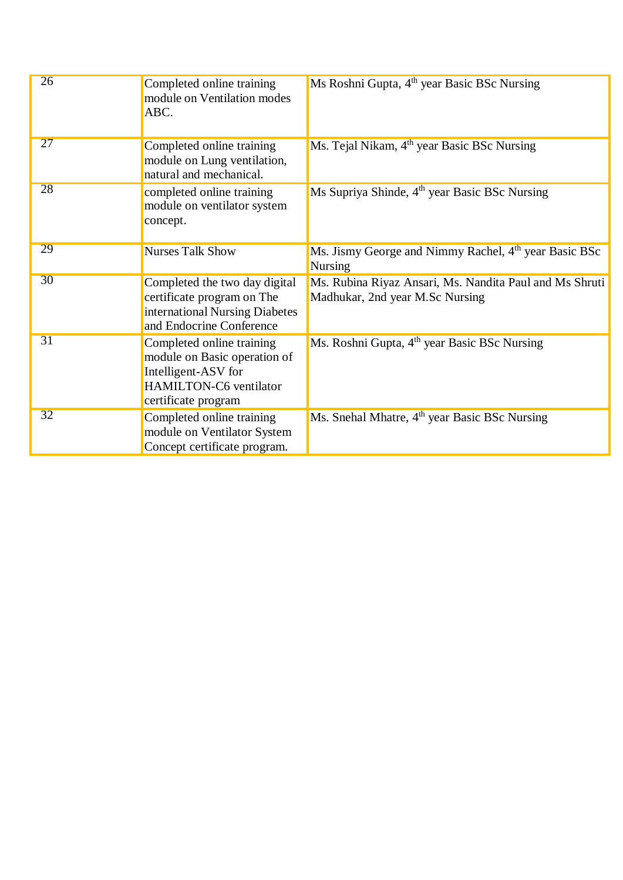| 26              | Completed online training<br>module on Ventilation modes<br>ABC.                                                                  | Ms Roshni Gupta, 4 <sup>th</sup> year Basic BSc Nursing                                    |
|-----------------|-----------------------------------------------------------------------------------------------------------------------------------|--------------------------------------------------------------------------------------------|
| 27              | Completed online training<br>module on Lung ventilation,<br>natural and mechanical.                                               | Ms. Tejal Nikam, 4 <sup>th</sup> year Basic BSc Nursing                                    |
| 28              | completed online training<br>module on ventilator system<br>concept.                                                              | Ms Supriya Shinde, 4 <sup>th</sup> year Basic BSc Nursing                                  |
| 29              | <b>Nurses Talk Show</b>                                                                                                           | Ms. Jismy George and Nimmy Rachel, 4 <sup>th</sup> year Basic BSc<br><b>Nursing</b>        |
| 30              | Completed the two day digital<br>certificate program on The<br>international Nursing Diabetes<br>and Endocrine Conference         | Ms. Rubina Riyaz Ansari, Ms. Nandita Paul and Ms Shruti<br>Madhukar, 2nd year M.Sc Nursing |
| 31              | Completed online training<br>module on Basic operation of<br>Intelligent-ASV for<br>HAMILTON-C6 ventilator<br>certificate program | Ms. Roshni Gupta, 4 <sup>th</sup> year Basic BSc Nursing                                   |
| $\overline{32}$ | Completed online training<br>module on Ventilator System<br>Concept certificate program.                                          | Ms. Snehal Mhatre, 4 <sup>th</sup> year Basic BSc Nursing                                  |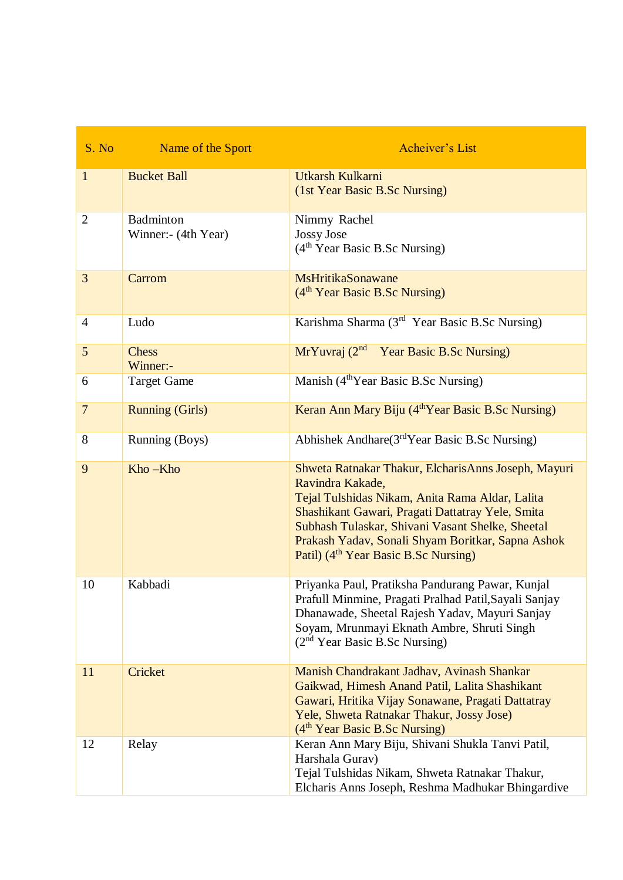| S. No          | Name of the Sport                       | <b>Acheiver's List</b>                                                                                                                                                                                                                                                                                                                      |
|----------------|-----------------------------------------|---------------------------------------------------------------------------------------------------------------------------------------------------------------------------------------------------------------------------------------------------------------------------------------------------------------------------------------------|
| $\mathbf{1}$   | <b>Bucket Ball</b>                      | Utkarsh Kulkarni<br>(1st Year Basic B.Sc Nursing)                                                                                                                                                                                                                                                                                           |
| $\overline{2}$ | <b>Badminton</b><br>Winner:- (4th Year) | Nimmy Rachel<br>Jossy Jose<br>(4 <sup>th</sup> Year Basic B.Sc Nursing)                                                                                                                                                                                                                                                                     |
| 3              | Carrom                                  | <b>MsHritikaSonawane</b><br>$(4th Year Basic B.Sc Nursing)$                                                                                                                                                                                                                                                                                 |
| $\overline{4}$ | Ludo                                    | Karishma Sharma (3 <sup>rd</sup> Year Basic B.Sc Nursing)                                                                                                                                                                                                                                                                                   |
| 5              | <b>Chess</b><br>Winner:-                | MrYuvraj (2 <sup>nd</sup> Year Basic B.Sc Nursing)                                                                                                                                                                                                                                                                                          |
| 6              | <b>Target Game</b>                      | Manish (4 <sup>th</sup> Year Basic B.Sc Nursing)                                                                                                                                                                                                                                                                                            |
| $\overline{7}$ | <b>Running (Girls)</b>                  | Keran Ann Mary Biju (4 <sup>th</sup> Year Basic B.Sc Nursing)                                                                                                                                                                                                                                                                               |
| 8              | Running (Boys)                          | Abhishek Andhare(3rdYear Basic B.Sc Nursing)                                                                                                                                                                                                                                                                                                |
| 9              | Kho-Kho                                 | Shweta Ratnakar Thakur, ElcharisAnns Joseph, Mayuri<br>Ravindra Kakade,<br>Tejal Tulshidas Nikam, Anita Rama Aldar, Lalita<br>Shashikant Gawari, Pragati Dattatray Yele, Smita<br>Subhash Tulaskar, Shivani Vasant Shelke, Sheetal<br>Prakash Yadav, Sonali Shyam Boritkar, Sapna Ashok<br>Patil) (4 <sup>th</sup> Year Basic B.Sc Nursing) |
| 10             | Kabbadi                                 | Priyanka Paul, Pratiksha Pandurang Pawar, Kunjal<br>Prafull Minmine, Pragati Pralhad Patil, Sayali Sanjay<br>Dhanawade, Sheetal Rajesh Yadav, Mayuri Sanjay<br>Soyam, Mrunmayi Eknath Ambre, Shruti Singh<br>$(2nd Year Basic B.Sc Nursing)$                                                                                                |
| 11             | Cricket                                 | Manish Chandrakant Jadhav, Avinash Shankar<br>Gaikwad, Himesh Anand Patil, Lalita Shashikant<br>Gawari, Hritika Vijay Sonawane, Pragati Dattatray<br>Yele, Shweta Ratnakar Thakur, Jossy Jose)<br>(4 <sup>th</sup> Year Basic B.Sc Nursing)                                                                                                 |
| 12             | Relay                                   | Keran Ann Mary Biju, Shivani Shukla Tanvi Patil,<br>Harshala Gurav)<br>Tejal Tulshidas Nikam, Shweta Ratnakar Thakur,<br>Elcharis Anns Joseph, Reshma Madhukar Bhingardive                                                                                                                                                                  |